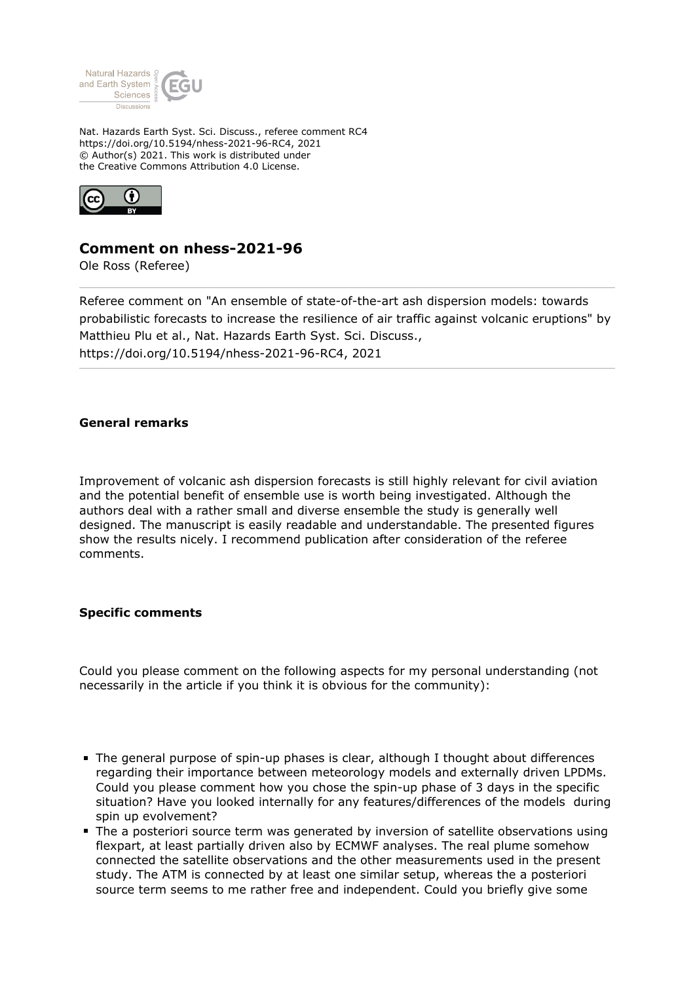

Nat. Hazards Earth Syst. Sci. Discuss., referee comment RC4 https://doi.org/10.5194/nhess-2021-96-RC4, 2021 © Author(s) 2021. This work is distributed under the Creative Commons Attribution 4.0 License.



## **Comment on nhess-2021-96**

Ole Ross (Referee)

Referee comment on "An ensemble of state-of-the-art ash dispersion models: towards probabilistic forecasts to increase the resilience of air traffic against volcanic eruptions" by Matthieu Plu et al., Nat. Hazards Earth Syst. Sci. Discuss., https://doi.org/10.5194/nhess-2021-96-RC4, 2021

## **General remarks**

Improvement of volcanic ash dispersion forecasts is still highly relevant for civil aviation and the potential benefit of ensemble use is worth being investigated. Although the authors deal with a rather small and diverse ensemble the study is generally well designed. The manuscript is easily readable and understandable. The presented figures show the results nicely. I recommend publication after consideration of the referee comments.

## **Specific comments**

Could you please comment on the following aspects for my personal understanding (not necessarily in the article if you think it is obvious for the community):

- The general purpose of spin-up phases is clear, although I thought about differences regarding their importance between meteorology models and externally driven LPDMs. Could you please comment how you chose the spin-up phase of 3 days in the specific situation? Have you looked internally for any features/differences of the models during spin up evolvement?
- The a posteriori source term was generated by inversion of satellite observations using flexpart, at least partially driven also by ECMWF analyses. The real plume somehow connected the satellite observations and the other measurements used in the present study. The ATM is connected by at least one similar setup, whereas the a posteriori source term seems to me rather free and independent. Could you briefly give some